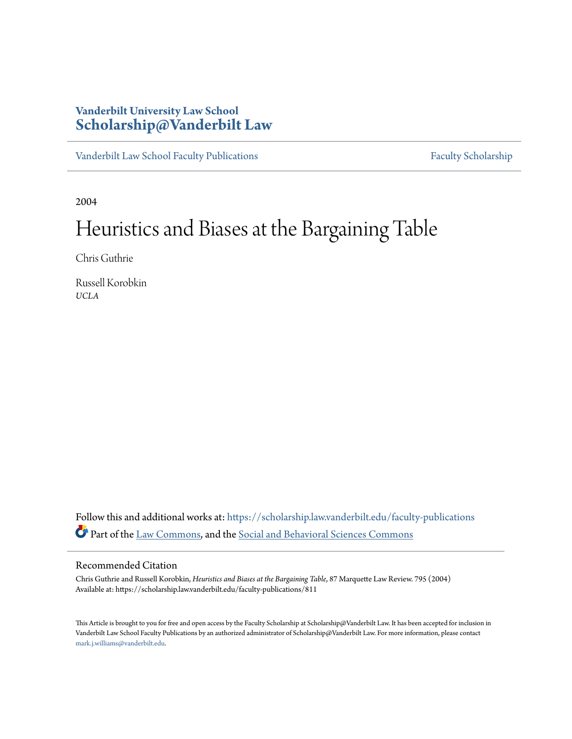# **Vanderbilt University Law School [Scholarship@Vanderbilt Law](https://scholarship.law.vanderbilt.edu?utm_source=scholarship.law.vanderbilt.edu%2Ffaculty-publications%2F811&utm_medium=PDF&utm_campaign=PDFCoverPages)**

[Vanderbilt Law School Faculty Publications](https://scholarship.law.vanderbilt.edu/faculty-publications?utm_source=scholarship.law.vanderbilt.edu%2Ffaculty-publications%2F811&utm_medium=PDF&utm_campaign=PDFCoverPages) [Faculty Scholarship](https://scholarship.law.vanderbilt.edu/faculty-scholarship?utm_source=scholarship.law.vanderbilt.edu%2Ffaculty-publications%2F811&utm_medium=PDF&utm_campaign=PDFCoverPages)

2004

# Heuristics and Biases at the Bargaining Table

Chris Guthrie

Russell Korobkin *UCLA*

Follow this and additional works at: [https://scholarship.law.vanderbilt.edu/faculty-publications](https://scholarship.law.vanderbilt.edu/faculty-publications?utm_source=scholarship.law.vanderbilt.edu%2Ffaculty-publications%2F811&utm_medium=PDF&utm_campaign=PDFCoverPages) Part of the [Law Commons,](http://network.bepress.com/hgg/discipline/578?utm_source=scholarship.law.vanderbilt.edu%2Ffaculty-publications%2F811&utm_medium=PDF&utm_campaign=PDFCoverPages) and the [Social and Behavioral Sciences Commons](http://network.bepress.com/hgg/discipline/316?utm_source=scholarship.law.vanderbilt.edu%2Ffaculty-publications%2F811&utm_medium=PDF&utm_campaign=PDFCoverPages)

# Recommended Citation

Chris Guthrie and Russell Korobkin, *Heuristics and Biases at the Bargaining Table*, 87 Marquette Law Review. 795 (2004) Available at: https://scholarship.law.vanderbilt.edu/faculty-publications/811

This Article is brought to you for free and open access by the Faculty Scholarship at Scholarship@Vanderbilt Law. It has been accepted for inclusion in Vanderbilt Law School Faculty Publications by an authorized administrator of Scholarship@Vanderbilt Law. For more information, please contact [mark.j.williams@vanderbilt.edu](mailto:mark.j.williams@vanderbilt.edu).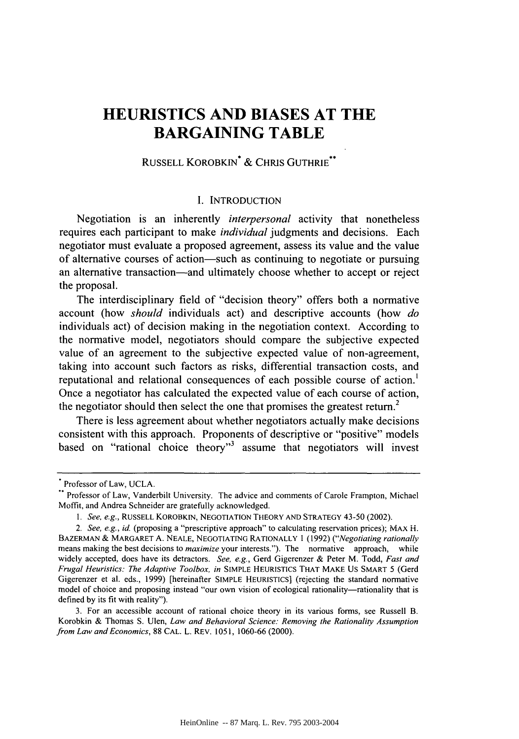# **HEURISTICS AND BIASES AT THE BARGAINING TABLE**

# RUSSELL KOROBKIN\* & CHRIS GUTHRIE\*\*

## I. INTRODUCTION

Negotiation is an inherently *interpersonal* activity that nonetheless requires each participant to make *individual* judgments and decisions. Each negotiator must evaluate a proposed agreement, assess its value and the value of alternative courses of action-such as continuing to negotiate or pursuing an alternative transaction—and ultimately choose whether to accept or reject the proposal.

The interdisciplinary field of "decision theory" offers both a normative account (how *should* individuals act) and descriptive accounts (how *do* individuals act) of decision making in the negotiation context. According to the normative model, negotiators should compare the subjective expected value of an agreement to the subjective expected value of non-agreement, taking into account such factors as risks, differential transaction costs, and reputational and relational consequences of each possible course of action.' Once a negotiator has calculated the expected value of each course of action, the negotiator should then select the one that promises the greatest return.<sup>2</sup>

There is less agreement about whether negotiators actually make decisions consistent with this approach. Proponents of descriptive or "positive" models based on "rational choice theory"<sup>3</sup> assume that negotiators will invest

Professor of Law, UCLA.

Professor of Law, Vanderbilt University. The advice and comments of Carole Frampton, Michael Moffit, and Andrea Schneider are gratefully acknowledged.

*<sup>1.</sup> See, e.g.,* RUSSELL KOROBKIN, NEGOTIATION THEORY AND STRATEGY 43-50 (2002).

*<sup>2.</sup> See, e.g., id.* (proposing a "prescriptive approach" to calculating reservation prices); MAX H. BAZERMAN & MARGARET A. NEALE, NEGOTIATING RATIONALLY 1 (1992) *("Negotiating rationally* means making the best decisions to *maximize* your interests."). The normative approach, while widely accepted, does have its detractors. *See, e.g.,* Gerd Gigerenzer & Peter M. Todd, *Fast and Frugal Heuristics: The Adaptive Toolbox, in* SIMPLE HEURISTICS THAT MAKE US SMART 5 (Gerd Gigerenzer et al. eds., 1999) [hereinafter SIMPLE HEURISTICS] (rejecting the standard normative model of choice and proposing instead "our own vision of ecological rationality-rationality that is defined **by** its fit with reality").

<sup>3.</sup> For an accessible account of rational choice theory in its various forms, see Russell B. Korobkin & Thomas S. Ulen, *Law and Behavioral Science: Removing the Rationality Assumption from Law and Economics,* 88 CAL. L. REV. 1051, 1060-66 (2000).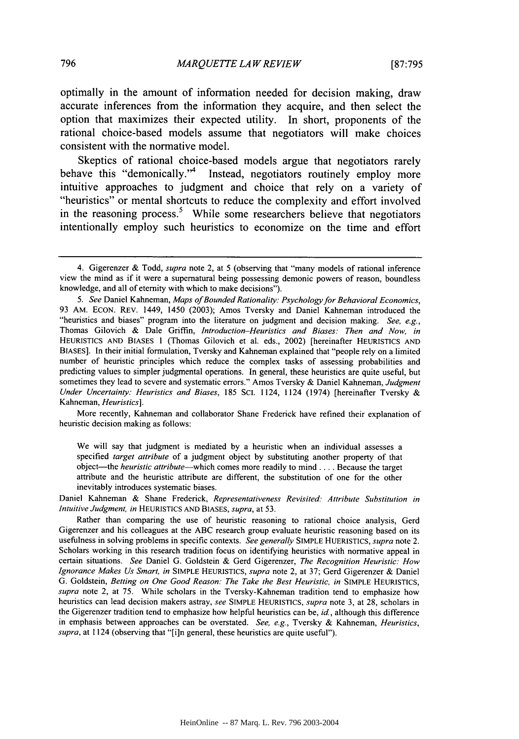optimally in the amount of information needed for decision making, draw accurate inferences from the information they acquire, and then select the option that maximizes their expected utility. In short, proponents of the rational choice-based models assume that negotiators will make choices consistent with the normative model.

Skeptics of rational choice-based models argue that negotiators rarely behave this "demonically."<sup>4</sup> Instead, negotiators routinely employ more intuitive approaches to judgment and choice that rely on a variety of "heuristics" or mental shortcuts to reduce the complexity and effort involved in the reasoning process.<sup>5</sup> While some researchers believe that negotiators intentionally employ such heuristics to economize on the time and effort

More recently, Kahneman and collaborator Shane Frederick have refined their explanation of heuristic decision making as follows:

We will say that judgment is mediated by a heuristic when an individual assesses a specified *target attribute* of a judgment object by substituting another property of that object-the *heuristic attribute-which* comes more readily to mind **....** Because the target attribute and the heuristic attribute are different, the substitution of one for the other inevitably introduces systematic biases.

Daniel Kahneman & Shane Frederick, *Representativeness Revisited: Attribute Substitution in Intuitive Judgment, in* HEURISTICS AND BIASES, *supra,* at 53.

<sup>4.</sup> Gigerenzer & Todd, *supra* note 2, at 5 (observing that "many models of rational inference view the mind as if it were a supernatural being possessing demonic powers of reason, boundless knowledge, and all of eternity with which to make decisions").

*<sup>5.</sup> See* Daniel Kahneman, *Maps of Bounded Rationality: Psychology for Behavioral Economics,* 93 AM. ECON. REV. 1449, 1450 (2003); Amos Tversky and Daniel Kahneman introduced the "heuristics and biases" program into the literature on judgment and decision making. *See, e.g.,* Thomas Gilovich & Dale Griffin, *Introduction-Heuristics and Biases: Then and Now, in* HEURISTICS AND BIASES 1 (Thomas Gilovich et al. eds., 2002) [hereinafter HEURISTICS AND BIASES]. In their initial formulation, Tversky and Kahneman explained that "people rely on a limited number of heuristic principles which reduce the complex tasks of assessing probabilities and predicting values to simpler judgmental operations. In general, these heuristics are quite useful, but sometimes they lead to severe and systematic errors." Amos Tversky & Daniel Kahneman, *Judgment Under Uncertainty: Heuristics and Biases,* 185 SCI. 1124, 1124 (1974) [hereinafter Tversky & Kahneman, *Heuristics].*

Rather than comparing the use of heuristic reasoning to rational choice analysis, Gerd Gigerenzer and his colleagues at the ABC research group evaluate heuristic reasoning based on its usefulness in solving problems in specific contexts. *See generally* SIMPLE HUERISTICS, *supra* note 2. Scholars working in this research tradition focus on identifying heuristics with normative appeal in certain situations. *See* Daniel G. Goldstein & Gerd Gigerenzer, *The Recognition Heuristic: How Ignorance Makes Us Smart, in* SIMPLE HEURISTICS, *supra* note 2, at 37; Gerd Gigerenzer & Daniel G. Goldstein, *Betting on One Good Reason: The Take the Best Heuristic, in* SIMPLE HEURISTICS, *supra* note 2, at 75. While scholars in the Tversky-Kahneman tradition tend to emphasize how heuristics can lead decision makers astray, *see* SIMPLE HEURISTICS, *supra* note 3, at 28, scholars in the Gigerenzer tradition tend to emphasize how helpful heuristics can be, *id,* although this difference in emphasis between approaches can be overstated. *See, e.g.,* Tversky & Kahneman, *Heuristics, supra,* at 1124 (observing that "[i]n general, these heuristics are quite useful").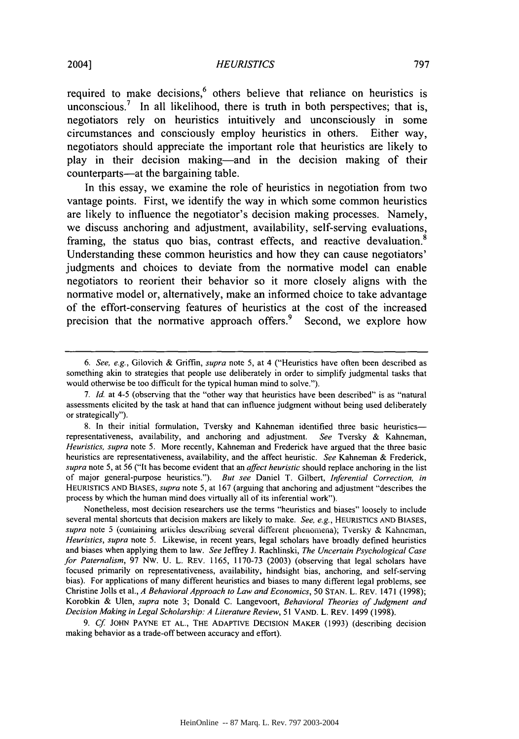required to make decisions,<sup>6</sup> others believe that reliance on heuristics is unconscious.<sup>7</sup> In all likelihood, there is truth in both perspectives; that is, negotiators rely on heuristics intuitively and unconsciously in some circumstances and consciously employ heuristics in others. Either way, negotiators should appreciate the important role that heuristics are likely to play in their decision making-and in the decision making of their counterparts—at the bargaining table.

In this essay, we examine the role of heuristics in negotiation from two vantage points. First, we identify the way in which some common heuristics are likely to influence the negotiator's decision making processes. Namely, we discuss anchoring and adjustment, availability, self-serving evaluations, framing, the status quo bias, contrast effects, and reactive devaluation.<sup>8</sup> Understanding these common heuristics and how they can cause negotiators' judgments and choices to deviate from the normative model can enable negotiators to reorient their behavior so it more closely aligns with the normative model or, alternatively, make an informed choice to take advantage of the effort-conserving features of heuristics at the cost of the increased precision that the normative approach offers.<sup>9</sup> Second, we explore how

9. Cf. JOHN PAYNE ET AL., THE ADAPTIVE DECISION MAKER (1993) (describing decision making behavior as a trade-off between accuracy and effort).

*<sup>6.</sup> See, e.g.,* Gilovich & Griffin, *supra* note 5, at 4 ("Heuristics have often been described as something akin to strategies that people use deliberately in order to simplify judgmental tasks that would otherwise be too difficult for the typical human mind to solve.").

*<sup>7.</sup> Id.* at 4-5 (observing that the "other way that heuristics have been described" is as "natural assessments elicited by the task at hand that can influence judgment without being used deliberately or strategically").

<sup>8.</sup> In their initial formulation, Tversky and Kahneman identified three basic heuristicsrepresentativeness, availability, and anchoring and adjustment. *See* Tversky & Kahneman, *Heuristics, supra* note 5. More recently, Kahneman and Frederick have argued that the three basic heuristics are representativeness, availability, and the affect heuristic. *See* Kahneman & Frederick, *supra* note 5, at 56 ("It has become evident that an *affect heuristic* should replace anchoring in the list of major general-purpose heuristics."). *But see* Daniel *T.* Gilbert, *Inferential Correction, in* **HEURISTICS AND** BIASES, *supra* note 5, at 167 (arguing that anchoring and adjustment "describes the process by which the human mind does virtually all of its inferential work").

Nonetheless, most decision researchers use the terms "heuristics and biases" loosely to include several mental shortcuts that decision makers are likely to make. *See, e.g.,* **HEURISTICS AND BIASES,** supra note 5 (containing articles describing several different phenomena); Tversky & Kahneman, *Heuristics, supra* note 5. Likewise, in recent years, legal scholars have broadly defined heuristics and biases when applying them to law. *See* Jeffrey J. Rachlinski, *The Uncertain Psychological Case for Paternalism,* 97 NW. U. L. REV. 1165, 1170-73 (2003) (observing that legal scholars have focused primarily on representativeness, availability, hindsight bias, anchoring, and self-serving bias). For applications of many different heuristics and biases to many different legal problems, see Christine Jolls et al., *A Behavioral Approach to Law and Economics, 50* **STAN.** L. REV. 1471 (1998); Korobkin & Ulen, *supra* note 3; Donald C. Langevoort, *Behavioral Theories of Judgment and Decision Making in Legal Scholarship: A Literature Review,* 51 VAND. L. REV. 1499 (1998).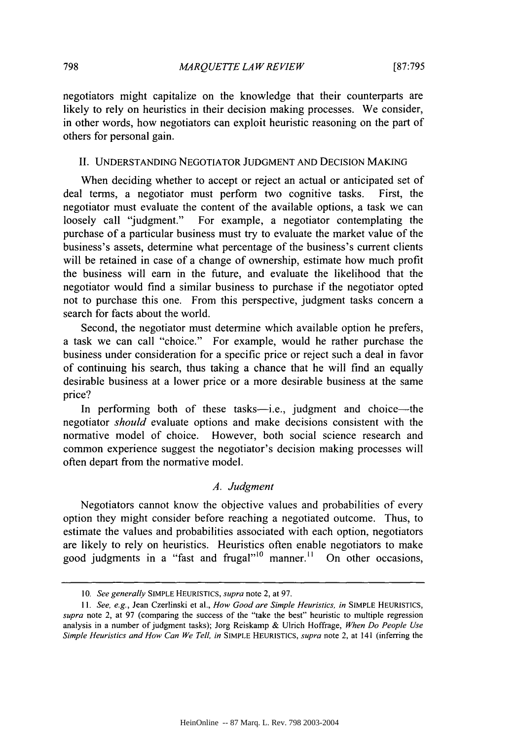negotiators might capitalize on the knowledge that their counterparts are likely to rely on heuristics in their decision making processes. We consider, in other words, how negotiators can exploit heuristic reasoning on the part of others for personal gain.

#### II. UNDERSTANDING NEGOTIATOR JUDGMENT AND DECISION MAKING

When deciding whether to accept or reject an actual or anticipated set of deal terms, a negotiator must perform two cognitive tasks. First, the negotiator must evaluate the content of the available options, a task we can loosely call "judgment." For example, a negotiator contemplating the purchase of a particular business must try to evaluate the market value of the business's assets, determine what percentage of the business's current clients will be retained in case of a change of ownership, estimate how much profit the business will earn in the future, and evaluate the likelihood that the negotiator would find a similar business to purchase if the negotiator opted not to purchase this one. From this perspective, judgment tasks concern a search for facts about the world.

Second, the negotiator must determine which available option he prefers, a task we can call "choice." For example, would he rather purchase the business under consideration for a specific price or reject such a deal in favor of continuing his search, thus taking a chance that he will find an equally desirable business at a lower price or a more desirable business at the same price?

In performing both of these tasks—i.e., judgment and choice—the negotiator *should* evaluate options and make decisions consistent with the normative model of choice. However, both social science research and common experience suggest the negotiator's decision making processes will often depart from the normative model.

#### *A. Judgment*

Negotiators cannot know the objective values and probabilities of every option they might consider before reaching a negotiated outcome. Thus, to estimate the values and probabilities associated with each option, negotiators are likely to rely on heuristics. Heuristics often enable negotiators to make good judgments in a "fast and frugal"<sup>10</sup> manner.<sup>11</sup> On other occasions,

**<sup>10.</sup>** *See generally* **SIMPLE HEURISTICS,** *supra* note 2, at 97.

*<sup>11.</sup> See, e.g.,* Jean Czerlinski et al., *How Good are Simple Heuristics, in* **SIMPLE HEURISTICS,** *supra* note 2, at 97 (comparing the success of the "take the best" heuristic to multiple regression analysis in a number of judgment tasks); Jorg Reiskamp & Ulrich Hoffrage, *When Do People Use Simple Heuristics and How Can We Tell, in* **SIMPLE HEURISTICS,** *supra* note 2, at 141 (inferring the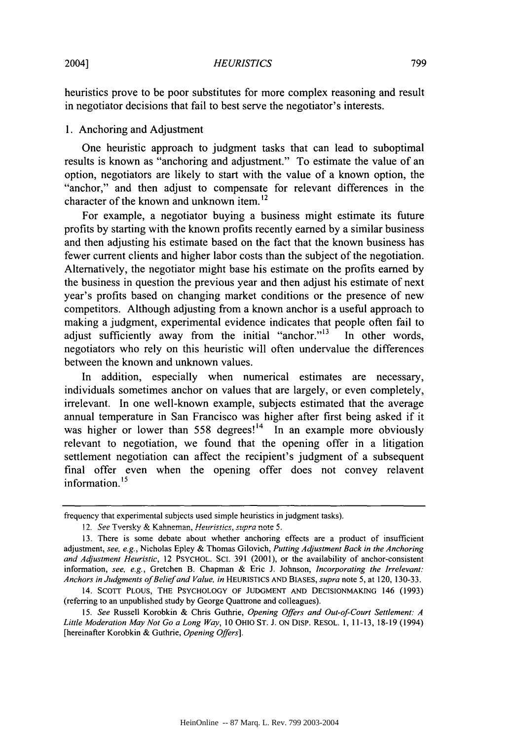heuristics prove to be poor substitutes for more complex reasoning and result in negotiator decisions that fail to best serve the negotiator's interests.

# 1. Anchoring and Adjustment

One heuristic approach to judgment tasks that can lead to suboptimal results is known as "anchoring and adjustment." To estimate the value of an option, negotiators are likely to start with the value of a known option, the "anchor," and then adjust to compensate for relevant differences in the character of the known and unknown item.<sup>12</sup>

For example, a negotiator buying a business might estimate its future profits by starting with the known profits recently earned by a similar business and then adjusting his estimate based on the fact that the known business has fewer current clients and higher labor costs than the subject of the negotiation. Alternatively, the negotiator might base his estimate on the profits earned by the business in question the previous year and then adjust his estimate of next year's profits based on changing market conditions or the presence of new competitors. Although adjusting from a known anchor is a useful approach to making a judgment, experimental evidence indicates that people often fail to adjust sufficiently away from the initial "anchor."<sup>13</sup> In other words, negotiators who rely on this heuristic will often undervalue the differences between the known and unknown values.

In addition, especially when numerical estimates are necessary, individuals sometimes anchor on values that are largely, or even completely, irrelevant. In one well-known example, subjects estimated that the average annual temperature in San Francisco was higher after first being asked if it was higher or lower than 558 degrees!<sup>14</sup> In an example more obviously relevant to negotiation, we found that the opening offer in a litigation settlement negotiation can affect the recipient's judgment of a subsequent final offer even when the opening offer does not convey relavent  $\frac{1}{100}$  information.<sup>15</sup>

frequency that experimental subjects used simple heuristics in judgment tasks).

<sup>12.</sup> See Tversky & Kahneman, Heuristics, supra note 5.

<sup>13.</sup> There is some debate about whether anchoring effects are a product of insufficient adjustment, *see, e.g.,* Nicholas Epley & Thomas Gilovich, *Putting Adjustment Back in the Anchoring and Adjustment Heuristic,* 12 PSYCHOL. SCI. 391 (2001), or the availability of anchor-consistent information, *see, e.g.,* Gretchen B. Chapman & Eric J. Johnson, *Incorporating the Irrelevant: Anchors in Judgments of Belief and Value, in* **HEURISTICS** AND BIASES, *supra* note 5, at 120, 130-33.

<sup>14.</sup> **SCOTT** PLOUS, THE PSYCHOLOGY OF JUDGMENT AND DECISIONMAKING 146 (1993) (referring to an unpublished study by George Quattrone and colleagues).

*<sup>15.</sup> See* Russell Korobkin & Chris Guthrie, *Opening Offers and Out-of-Court Settlement: A Little Moderation May Not Go a Long Way,* 10 OHIO ST. J. ON DisP. RESOL. 1, 11-13, 18-19 (1994) [hereinafter Korobkin & Guthrie, *Opening Offers].*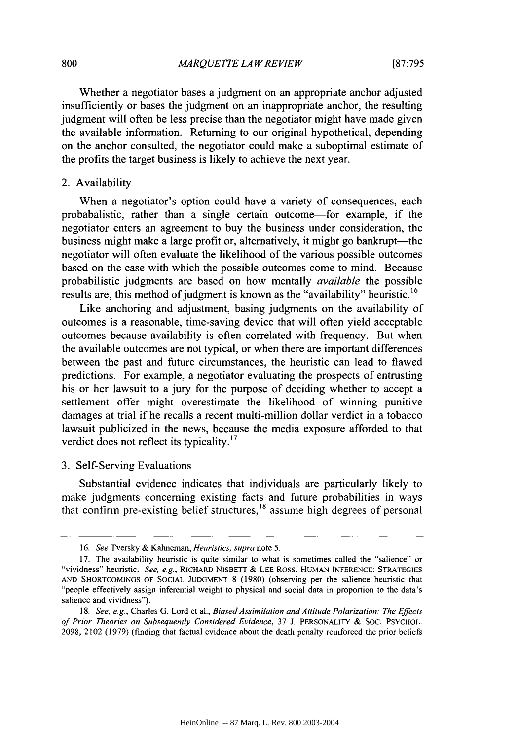Whether a negotiator bases a judgment on an appropriate anchor adjusted insufficiently or bases the judgment on an inappropriate anchor, the resulting judgment will often be less precise than the negotiator might have made given the available information. Returning to our original hypothetical, depending on the anchor consulted, the negotiator could make a suboptimal estimate of the profits the target business is likely to achieve the next year.

#### 2. Availability

When a negotiator's option could have a variety of consequences, each probabalistic, rather than a single certain outcome-for example, if the negotiator enters an agreement to buy the business under consideration, the business might make a large profit or, alternatively, it might go bankrupt—the negotiator will often evaluate the likelihood of the various possible outcomes based on the ease with which the possible outcomes come to mind. Because probabilistic judgments are based on how mentally *available* the possible results are, this method of judgment is known as the "availability" heuristic.<sup>16</sup>

Like anchoring and adjustment, basing judgments on the availability of outcomes is a reasonable, time-saving device that will often yield acceptable outcomes because availability is often correlated with frequency. But when the available outcomes are not typical, or when there are important differences between the past and future circumstances, the heuristic can lead to flawed predictions. For example, a negotiator evaluating the prospects of entrusting his or her lawsuit to a jury for the purpose of deciding whether to accept a settlement offer might overestimate the likelihood of winning punitive damages at trial if he recalls a recent multi-million dollar verdict in a tobacco lawsuit publicized in the news, because the media exposure afforded to that verdict does not reflect its typicality.<sup>17</sup>

#### 3. Self-Serving Evaluations

Substantial evidence indicates that individuals are particularly likely to make judgments concerning existing facts and future probabilities in ways that confirm pre-existing belief structures,<sup>18</sup> assume high degrees of personal

*<sup>16.</sup> See* Tversky & Kahneman, *Heuristics, supra* note 5.

<sup>17.</sup> The availability heuristic is quite similar to what is sometimes called the "salience" or "vividness" heuristic. *See, e.g.,* RICHARD NISBETT & LEE ROSS, HUMAN INFERENCE: STRATEGIES **AND SHORTCOMINGS** OF **SOCIAL JUDGMENT** 8 (1980) (observing per the salience heuristic that "people effectively assign inferential weight to physical and social data in proportion to the data's salience and vividness").

*<sup>18.</sup> See, e.g.,* Charles **G.** Lord et al., *Biased Assimilation and Attitude Polarization: The Effects of Prior Theories on Subsequently Considered Evidence,* 37 J. PERSONALITY & SOC. PSYCHOL. 2098, 2102 (1979) (finding that factual evidence about the death penalty reinforced the prior beliefs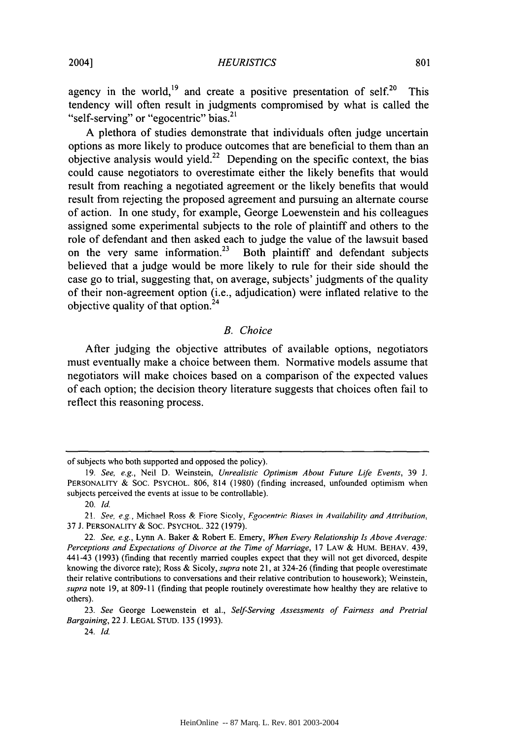agency in the world, <sup>19</sup> and create a positive presentation of self.<sup>20</sup> This tendency will often result in judgments compromised by what is called the "self-serving" or "egocentric" bias.<sup>21</sup>

A plethora of studies demonstrate that individuals often judge uncertain options as more likely to produce outcomes that are beneficial to them than an objective analysis would yield.<sup>22</sup> Depending on the specific context, the bias could cause negotiators to overestimate either the likely benefits that would result from reaching a negotiated agreement or the likely benefits that would result from rejecting the proposed agreement and pursuing an alternate course of action. In one study, for example, George Loewenstein and his colleagues assigned some experimental subjects to the role of plaintiff and others to the role of defendant and then asked each to judge the value of the lawsuit based on the very same information.<sup>23</sup> Both plaintiff and defendant subjects believed that a judge would be more likely to rule for their side should the case go to trial, suggesting that, on average, subjects' judgments of the quality of their non-agreement option (i.e., adjudication) were inflated relative to the objective quality of that option.<sup>24</sup>

#### *B. Choice*

After judging the objective attributes of available options, negotiators must eventually make a choice between them. Normative models assume that negotiators will make choices based on a comparison of the expected values of each option; the decision theory literature suggests that choices often fail to reflect this reasoning process.

of subjects who both supported and opposed the policy).

<sup>19.</sup> See, e.g., Neil D. Weinstein, Unrealistic Optimism About Future Life Events, 39 J. PERSONALITY & SOC. PSYCHOL. 806, 814 (1980) (finding increased, unfounded optimism when subjects perceived the events at issue to be controllable).

<sup>20.</sup> Id.

<sup>21.</sup> *See, e.g., Michael Ross & Fiore Sicoly, Egocentric Biases in Availability and Attribution.* 37 J. PERSONALITY & SOC. PSYCHOL. 322 (1979).

<sup>22.</sup> See, e.g., Lynn A. Baker & Robert E. Emery, When Every Relationship Is Above Average: Perceptions and Expectations of Divorce at the Time of Marriage, 17 LAW & HUM. BEHAV. 439, 441-43 (1993) (finding that recently married couples expect that they will not get divorced, despite knowing the divorce rate); Ross & Sicoly, supra note 21, at 324-26 (finding that people overestimate their relative contributions to conversations and their relative contribution to housework); Weinstein, supra note 19, at 809-11 (finding that people routinely overestimate how healthy they are relative to others).

<sup>23.</sup> See George Loewenstein et al., Self-Serving Assessments of Fairness and Pretrial Bargaining, 22 J. LEGAL STUD. 135 (1993).

<sup>24.</sup> Id.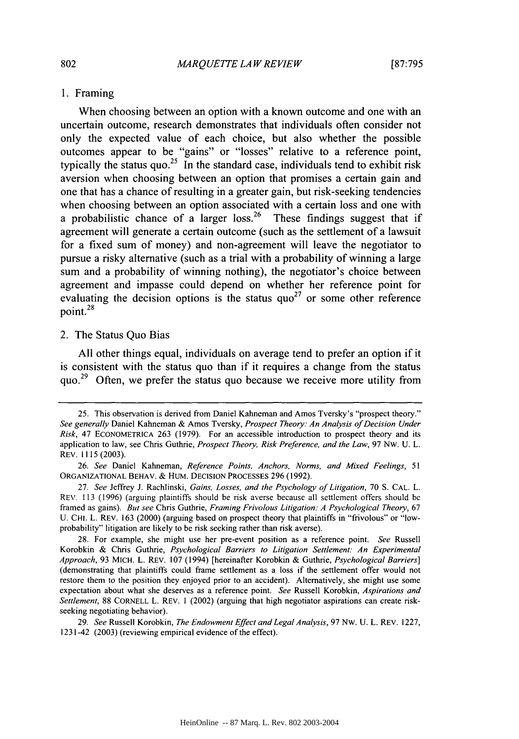#### **1.** Framing

When choosing between an option with a known outcome and one with an uncertain outcome, research demonstrates that individuals often consider not only the expected value of each choice, but also whether the possible outcomes appear to be "gains" or "losses" relative to a reference point, typically the status quo.<sup>25</sup> In the standard case, individuals tend to exhibit risk aversion when choosing between an option that promises a certain gain and one that has a chance of resulting in a greater gain, but risk-seeking tendencies when choosing between an option associated with a certain loss and one with a probabilistic chance of a larger loss.<sup>26</sup> These findings suggest that if agreement will generate a certain outcome (such as the settlement of a lawsuit for a fixed sum of money) and non-agreement will leave the negotiator to pursue a risky alternative (such as a trial with a probability of winning a large sum and a probability of winning nothing), the negotiator's choice between agreement and impasse could depend on whether her reference point for evaluating the decision options is the status  $\text{quo}^{27}$  or some other reference **<sup>28</sup>** point.

#### 2. The Status Quo Bias

**All** other things equal, individuals on average tend to prefer an option if it is consistent with the status quo than if it requires a change from the status quo.<sup>29</sup> Often, we prefer the status quo because we receive more utility from

<sup>25.</sup> This observation is derived from Daniel Kahneman and Amos Tversky's "prospect theory." *See generally* Daniel Kahneman & Amos Tversky, *Prospect Theory: An Analysis of Decision Under Risk,* 47 **ECONOMETRICA** 263 (1979). For an accessible introduction to prospect theory and its application to law, see Chris Guthrie, *Prospect Theory, Risk Preference, and the Law,* 97 NW. U. L. REV. 1115 (2003).

<sup>26.</sup> *See* Daniel Kahneman, *Reference Points, Anchors, Norms, and Mixed Feelings, 51* **ORGANIZATIONAL** BEHAV. & HUM. DECISION PROCESSES 296 (1992).

<sup>27.</sup> *See* Jeffrey J. Rachlinski, *Gains, Losses, and the Psychology of Litigation,* 70 S. CAL. L. REV. 113 (1996) (arguing plaintiffs should be risk averse because all scttlement offers should be framed as gains). *But see* Chris Guthrie, *Framing Frivolous Litigation: A Psychological Theory,* 67 U. CHI. L. REV. 163 (2000) (arguing based on prospect theory that plaintiffs in "frivolous" or "lowprobability" litigation are likely to be risk seeking rather than risk averse).

<sup>28.</sup> For example, she might use her pre-event position as a reference point. *See* Russell Korobkin & Chris Guthrie, *Psychological Barriers to Litigation Settlement: An Experimental Approach,* 93 MICH. L. REV. 107 (1994) [hereinafter Korobkin & Guthrie, *Psychological Barriers]* (demonstrating that plaintiffs could frame settlement as a loss if the settlement offer would not restore them to the position they enjoyed prior to an accident). Alternatively, she might use some expectation about what she deserves as a reference point. *See* Russell Korobkin, *Aspirations and Settlement,* 88 CORNELL L. REV. 1 (2002) (arguing that high negotiator aspirations can create riskseeking negotiating behavior).

<sup>29.</sup> *See* Russell Korobkin, *The Endowment Effect and Legal Analysis,* 97 Nw. U. L. REV. 1227, 1231-42 (2003) (reviewing empirical evidence of the effect).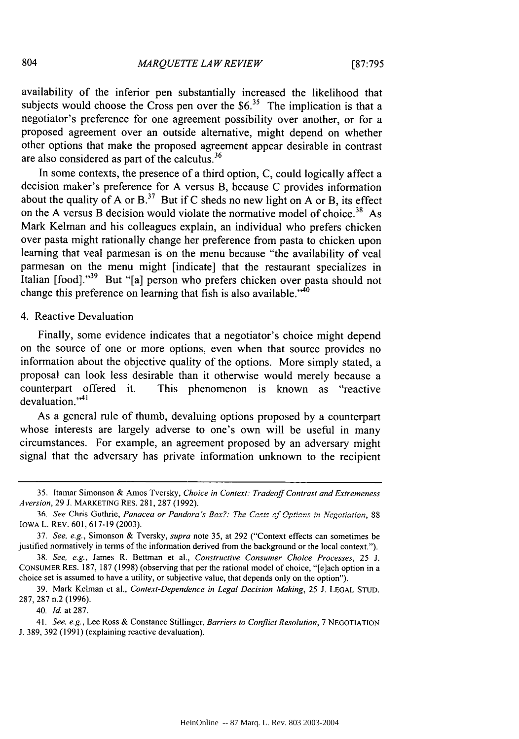availability of the inferior pen substantially increased the likelihood that subjects would choose the Cross pen over the \$6.<sup>35</sup> The implication is that a negotiator's preference for one agreement possibility over another, or for a proposed agreement over an outside alternative, might depend on whether other options that make the proposed agreement appear desirable in contrast are also considered as part of the calculus.<sup>36</sup>

In some contexts, the presence of a third option, C, could logically affect a decision maker's preference for A versus B, because C provides information about the quality of A or  $B<sup>37</sup>$  But if C sheds no new light on A or B, its effect on the A versus B decision would violate the normative model of choice.<sup>38</sup> As Mark Kelman and his colleagues explain, an individual who prefers chicken over pasta might rationally change her preference from pasta to chicken upon learning that veal parmesan is on the menu because "the availability of veal parmesan on the menu might [indicate] that the restaurant specializes in Italian  $[food]$ ."<sup>39</sup> But "[a] person who prefers chicken over pasta should not change this preference on learning that fish is also available."<sup>40</sup>

#### 4. Reactive Devaluation

Finally, some evidence indicates that a negotiator's choice might depend on the source of one or more options, even when that source provides no information about the objective quality of the options. More simply stated, a proposal can look less desirable than it otherwise would merely because a counterpart offered it. This phenomenon is known as "reactive devaluation."<sup>41</sup>

As a general rule of thumb, devaluing options proposed by a counterpart whose interests are largely adverse to one's own will be useful in many circumstances. For example, an agreement proposed by an adversary might signal that the adversary has private information unknown to the recipient

40. Id. at 287.

41. *See, e.g.,* Lee Ross & Constance Stillinger, *Barriers to Conflict Resolution,* 7 NEGOTIATION J. 389, 392 (1991) (explaining reactive devaluation).

<sup>35.</sup> Itamar Simonson & Amos Tversky, *Choice in Context: Tradeoff Contrast and Extremeness Aversion,* **29 J.** MARKETING RES. 281, 287 (1992).

**<sup>16</sup> See** Chris Guhrie, Panoacea or Pandora's *Box?: The Costs of Options in Negotiation,* <sup>88</sup> IOWA L. REV. 601, 617-19 (2003).

<sup>37.</sup> *See, e.g.,* Simonson & Tversky, *supra* note 35, at 292 ("Context effects can sometimes be justified normatively in terms of the information derived from the background or the local context.").

<sup>38.</sup> *See, e.g.,* James R. Bettman et al., *Constructive Consumer Choice Processes,* 25 J. CONSUMER RES. 187, 187 (1998) (observing that per the rational model of choice, "[e]ach option in a choice set is assumed to have a utility, or subjective value, that depends only on the option").

<sup>39.</sup> Mark Kelman et al., *Context-Dependence in Legal Decision Making,* 25 J. LEGAL STUD. 287, 287 n.2 (1996).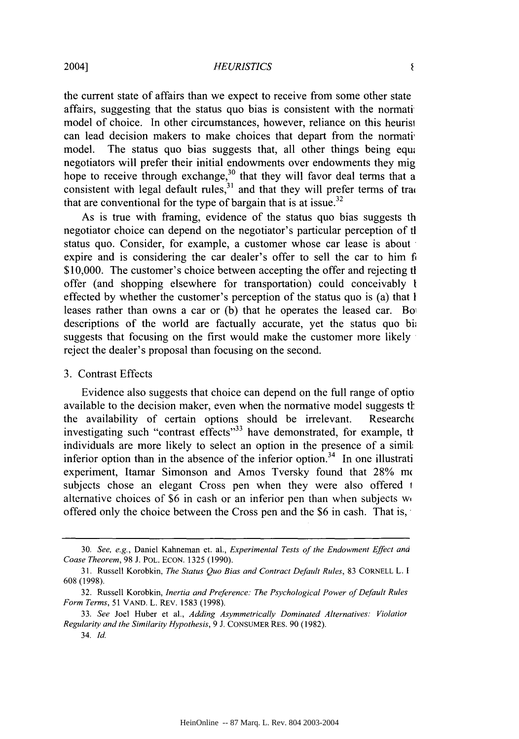#### *HEURISTICS*

the current state of affairs than we expect to receive from some other state affairs, suggesting that the status quo bias is consistent with the normati model of choice. In other circumstances, however, reliance on this heurisl can lead decision makers to make choices that depart from the normati' model. The status quo bias suggests that, all other things being equal negotiators will prefer their initial endowments over endowments they mig hope to receive through exchange,  $30$  that they will favor deal terms that a consistent with legal default rules,  $31$  and that they will prefer terms of tra $\frac{1}{4}$ that are conventional for the type of bargain that is at issue.<sup>32</sup>

As is true with framing, evidence of the status quo bias suggests th negotiator choice can depend on the negotiator's particular perception of tl status quo. Consider, for example, a customer whose car lease is about expire and is considering the car dealer's offer to sell the car to him f \$10,000. The customer's choice between accepting the offer and rejecting the offer (and shopping elsewhere for transportation) could conceivably **I** effected by whether the customer's perception of the status quo is (a) that **I** leases rather than owns a car or (b) that he operates the leased car. Bo descriptions of the world are factually accurate, yet the status quo bi; suggests that focusing on the first would make the customer more likely reject the dealer's proposal than focusing on the second.

# 3. Contrast Effects

Evidence also suggests that choice can depend on the full range of optio available to the decision maker, even when the normative model suggests the the availability of certain options should be irrelevant. Researchc investigating such "contrast effects"<sup>33</sup> have demonstrated, for example, the individuals are more likely to select an option in the presence of a simit inferior option than in the absence of the inferior option.<sup>34</sup> In one illustrati experiment, Itamar Simonson and Amos Tversky found that 28% m subjects chose an elegant Cross pen when they were also offered 1 alternative choices of \$6 in cash or an inferior pen than when subjects w, offered only the choice between the Cross pen and the \$6 in cash. That is,\*

<sup>30.</sup> *See, e.g.,* Daniel Kahneman et. al., *Experimental Tests of the Endowment Effect ana Coase Theorem,* 98 J. POL. ECON. 1325 (1990).

<sup>31.</sup> Russell Korobkin, *The Status Quo Bias and Contract Default Rules,* 83 CORNELL L. **1** 608 (1998).

<sup>32.</sup> Russell Korobkin, *Inertia and Preference: The Psychological Power of Default Rules Form Terms,* 51 VAND. L. REV. 1583 (1998).

<sup>33.</sup> *See* Joel Huber et al., *Adding Asymmetrically Dominated Alternatives: Violatior Regularity and the Similarity Hypothesis,* 9 J. CONSUMER RES. 90 (1982).

<sup>34.</sup> Id.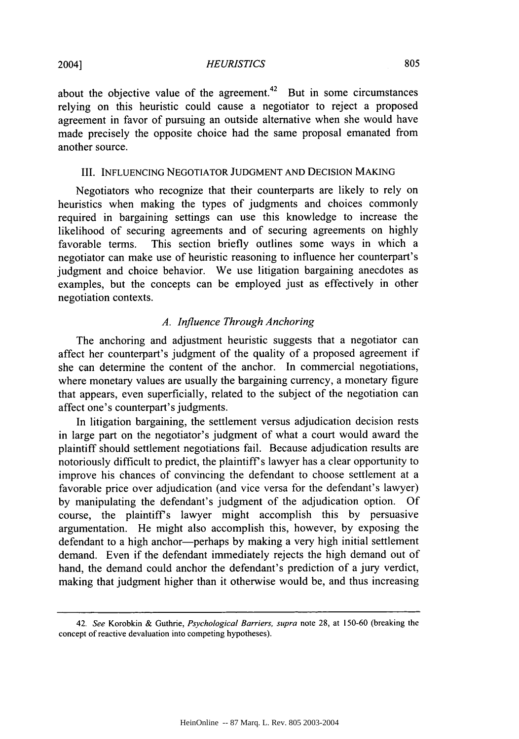#### *HEURISTICS*

about the objective value of the agreement.<sup>42</sup> But in some circumstances relying on this heuristic could cause a negotiator to reject a proposed agreement in favor of pursuing an outside alternative when she would have made precisely the opposite choice had the same proposal emanated from another source.

#### III. INFLUENCING NEGOTIATOR JUDGMENT AND DECISION MAKING

Negotiators who recognize that their counterparts are likely to rely on heuristics when making the types of judgments and choices commonly required in bargaining settings can use this knowledge to increase the likelihood of securing agreements and of securing agreements on highly favorable terms. This section briefly outlines some ways in which a negotiator can make use of heuristic reasoning to influence her counterpart's judgment and choice behavior. We use litigation bargaining anecdotes as examples, but the concepts can be employed just as effectively in other negotiation contexts.

# *A. Influence Through Anchoring*

The anchoring and adjustment heuristic suggests that a negotiator can affect her counterpart's judgment of the quality of a proposed agreement if she can determine the content of the anchor. In commercial negotiations, where monetary values are usually the bargaining currency, a monetary figure that appears, even superficially, related to the subject of the negotiation can affect one's counterpart's judgments.

In litigation bargaining, the settlement versus adjudication decision rests in large part on the negotiator's judgment of what a court would award the plaintiff should settlement negotiations fail. Because adjudication results are notoriously difficult to predict, the plaintiffs lawyer has a clear opportunity to improve his chances of convincing the defendant to choose settlement at a favorable price over adjudication (and vice versa for the defendant's lawyer) **by** manipulating the defendant's judgment of the adjudication option. Of course, the plaintiffs lawyer might accomplish this by persuasive argumentation. He might also accomplish this, however, by exposing the defendant to a high anchor-perhaps by making a very high initial settlement demand. Even if the defendant immediately rejects the high demand out of hand, the demand could anchor the defendant's prediction of a jury verdict, making that judgment higher than it otherwise would be, and thus increasing

<sup>42.</sup> See Korobkin & Guthrie, Psychological Barriers, supra note 28, at 150-60 (breaking the concept of reactive devaluation into competing hypotheses).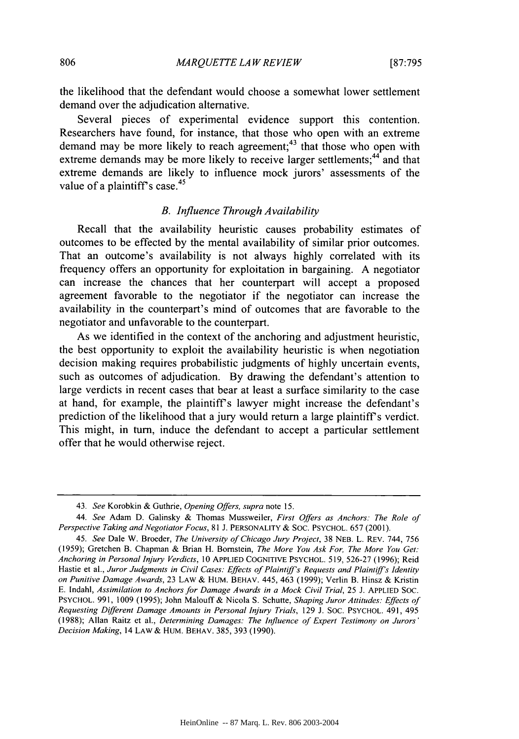the likelihood that the defendant would choose a somewhat lower settlement demand over the adjudication alternative.

Several pieces of experimental evidence support this contention. Researchers have found, for instance, that those who open with an extreme demand may be more likely to reach agreement;<sup>43</sup> that those who open with extreme demands may be more likely to receive larger settlements;<sup>44</sup> and that extreme demands are likely to influence mock jurors' assessments of the value of a plaintiff's case. $45$ 

#### *B. Influence Through Availability*

Recall that the availability heuristic causes probability estimates of outcomes to be effected by the mental availability of similar prior outcomes. That an outcome's availability is not always highly correlated with its frequency offers an opportunity for exploitation in bargaining. A negotiator can increase the chances that her counterpart will accept a proposed agreement favorable to the negotiator if the negotiator can increase the availability in the counterpart's mind of outcomes that are favorable to the negotiator and unfavorable to the counterpart.

As we identified in the context of the anchoring and adjustment heuristic, the best opportunity to exploit the availability heuristic is when negotiation decision making requires probabilistic judgments of highly uncertain events, such as outcomes of adjudication. By drawing the defendant's attention to large verdicts in recent cases that bear at least a surface similarity to the case at hand, for example, the plaintiffs lawyer might increase the defendant's prediction of the likelihood that a jury would return a large plaintiff's verdict. This might, in turn, induce the defendant to accept a particular settlement offer that he would otherwise reject.

<sup>43.</sup> *See* Korobkin & Guthrie, *Opening Offers, supra* note 15.

*<sup>44.</sup> See* Adam D. Galinsky & Thomas Mussweiler, *First Offers as Anchors: The Role of Perspective Taking and Negotiator Focus,* 81 J. PERSONALITY & SOC. PSYCHOL. 657 (2001).

*<sup>45.</sup> See* Dale W. Broeder, *The University of Chicago Jury Project,* 38 NEB. L. REV. 744, 756 (1959); Gretchen B. Chapman & Brian H. Bornstein, *The More You Ask For, The More You Get: Anchoring in Personal Injury Verdicts,* 10 APPLIED COGNITIVE PSYCHOL. 519, 526-27 (1996); Reid Hastie et al., *Juror Judgments in Civil Cases: Effects of Plaintiff's Requests and Plaintiff's Identity on Punitive Damage Awards,* 23 LAW & HUM. BEHAV. 445, 463 (1999); Verlin B. Hinsz & Kristin E. Indahl, *Assimilation to Anchors for Damage Awards in a Mock Civil Trial,* 25 J. APPLIED SOC. PSYCHOL. 991, 1009 (1995); John Malouff & Nicola **S.** Schutte, *Shaping Juror Attitudes: Effects of Requesting Different Damage Amounts in Personal Injury Trials,* 129 J. SOC. PSYCHOL. 491, 495 (1988); Allan Raitz et al., *Determining Damages: The Influence of Expert Testimony on Jurors' Decision Making,* 14 LAW& HUM. BEHAV. 385, 393 (1990).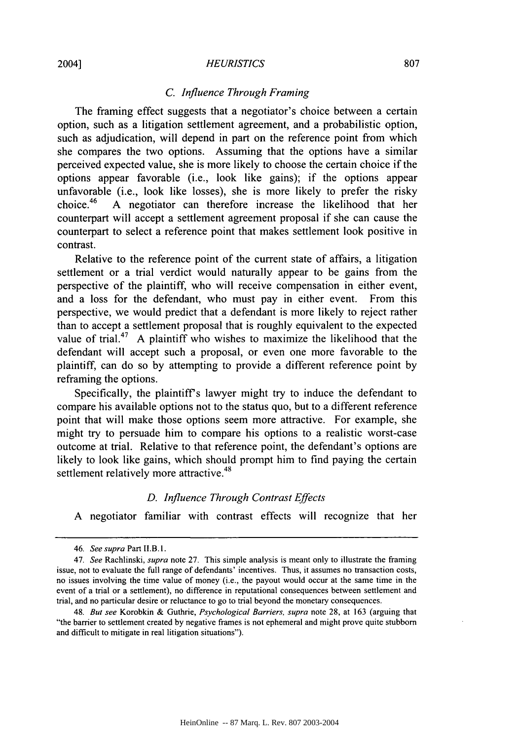#### *HEURISTICS*

## *C. Influence Through Framing*

The framing effect suggests that a negotiator's choice between a certain option, such as a litigation settlement agreement, and a probabilistic option, such as adjudication, will depend in part on the reference point from which she compares the two options. Assuming that the options have a similar perceived expected value, she is more likely to choose the certain choice if the options appear favorable (i.e., look like gains); if the options appear unfavorable (i.e., look like losses), she is more likely to prefer the risky choice.<sup>46</sup> A negotiator can therefore increase the likelihood that her A negotiator can therefore increase the likelihood that her counterpart will accept a settlement agreement proposal if she can cause the counterpart to select a reference point that makes settlement look positive in contrast.

Relative to the reference point of the current state of affairs, a litigation settlement or a trial verdict would naturally appear to be gains from the perspective of the plaintiff, who will receive compensation in either event, and a loss for the defendant, who must pay in either event. From this perspective, we would predict that a defendant is more likely to reject rather than to accept a settlement proposal that is roughly equivalent to the expected value of trial.<sup>47</sup> A plaintiff who wishes to maximize the likelihood that the defendant will accept such a proposal, or even one more favorable to the plaintiff, can do so by attempting to provide a different reference point by reframing the options.

Specifically, the plaintiff's lawyer might try to induce the defendant to compare his available options not to the status quo, but to a different reference point that will make those options seem more attractive. For example, she might try to persuade him to compare his options to a realistic worst-case outcome at trial. Relative to that reference point, the defendant's options are likely to look like gains, which should prompt him to find paying the certain settlement relatively more attractive.<sup>48</sup>

#### *D. Influence Through Contrast Effects*

A negotiator familiar with contrast effects will recognize that her

*<sup>46.</sup> See supra* Part **II.B. 1.**

<sup>47.</sup> *See* Rachlinski, *supra* note 27. This simple analysis is meant only to illustrate the framing issue, not to evaluate the full range of defendants' incentives. Thus, it assumes no transaction costs, no issues involving the time value of money (i.e., the payout would occur at the same time in the event of a trial or a settlement), no difference in reputational consequences between settlement and trial, and no particular desire or reluctance to go to trial beyond the monetary consequences.

<sup>48.</sup> *But see* Korobkin & Guthrie, *Psychological Barriers, supra* note 28, at 163 (arguing that "the barrier to settlement created by negative frames is not ephemeral and might prove quite stubborn and difficult to mitigate in real litigation situations").